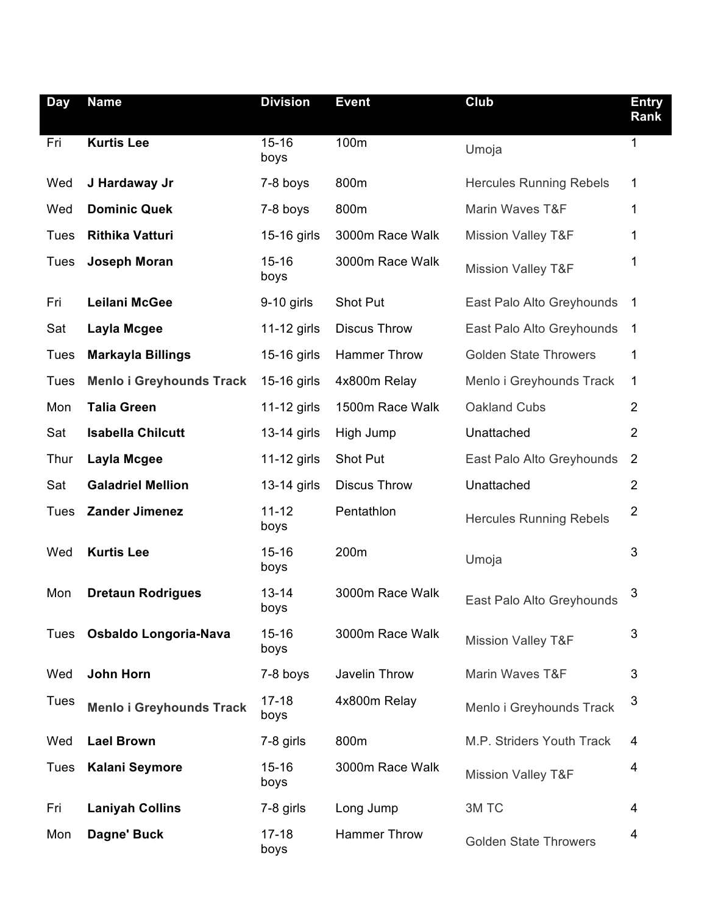| <b>Day</b>  | <b>Name</b>                     | <b>Division</b>   | <b>Event</b>        | Club                           | <b>Entry</b><br>Rank |
|-------------|---------------------------------|-------------------|---------------------|--------------------------------|----------------------|
| Fri         | <b>Kurtis Lee</b>               | $15 - 16$<br>boys | 100m                | Umoja                          | $\mathbf 1$          |
| Wed         | J Hardaway Jr                   | 7-8 boys          | 800m                | <b>Hercules Running Rebels</b> | 1                    |
| Wed         | <b>Dominic Quek</b>             | 7-8 boys          | 800m                | Marin Waves T&F                | 1                    |
| <b>Tues</b> | <b>Rithika Vatturi</b>          | 15-16 girls       | 3000m Race Walk     | <b>Mission Valley T&amp;F</b>  | 1                    |
| Tues        | Joseph Moran                    | $15 - 16$<br>boys | 3000m Race Walk     | <b>Mission Valley T&amp;F</b>  | 1                    |
| Fri         | <b>Leilani McGee</b>            | $9-10$ girls      | Shot Put            | East Palo Alto Greyhounds      | $\mathbf 1$          |
| Sat         | Layla Mcgee                     | 11-12 girls       | <b>Discus Throw</b> | East Palo Alto Greyhounds      | 1                    |
| <b>Tues</b> | <b>Markayla Billings</b>        | 15-16 girls       | <b>Hammer Throw</b> | <b>Golden State Throwers</b>   | 1                    |
| <b>Tues</b> | <b>Menlo i Greyhounds Track</b> | 15-16 girls       | 4x800m Relay        | Menlo i Greyhounds Track       | 1                    |
| Mon         | <b>Talia Green</b>              | $11-12$ girls     | 1500m Race Walk     | Oakland Cubs                   | $\overline{2}$       |
| Sat         | <b>Isabella Chilcutt</b>        | 13-14 girls       | High Jump           | Unattached                     | $\overline{2}$       |
| Thur        | Layla Mcgee                     | 11-12 girls       | Shot Put            | East Palo Alto Greyhounds      | $\overline{2}$       |
| Sat         | <b>Galadriel Mellion</b>        | 13-14 girls       | <b>Discus Throw</b> | Unattached                     | $\overline{2}$       |
| Tues        | <b>Zander Jimenez</b>           | $11 - 12$<br>boys | Pentathlon          | <b>Hercules Running Rebels</b> | $\overline{2}$       |
| Wed         | <b>Kurtis Lee</b>               | $15 - 16$<br>boys | 200m                | Umoja                          | 3                    |
| Mon         | <b>Dretaun Rodrigues</b>        | $13 - 14$<br>boys | 3000m Race Walk     | East Palo Alto Greyhounds      | 3                    |
| Tues        | Osbaldo Longoria-Nava           | $15 - 16$<br>boys | 3000m Race Walk     | <b>Mission Valley T&amp;F</b>  | 3                    |
| Wed         | <b>John Horn</b>                | 7-8 boys          | Javelin Throw       | Marin Waves T&F                | 3                    |
| <b>Tues</b> | <b>Menlo i Greyhounds Track</b> | $17 - 18$<br>boys | 4x800m Relay        | Menlo i Greyhounds Track       | 3                    |
| Wed         | <b>Lael Brown</b>               | 7-8 girls         | 800m                | M.P. Striders Youth Track      | 4                    |
| Tues        | <b>Kalani Seymore</b>           | $15 - 16$<br>boys | 3000m Race Walk     | <b>Mission Valley T&amp;F</b>  | 4                    |
| Fri         | <b>Laniyah Collins</b>          | 7-8 girls         | Long Jump           | 3M TC                          | 4                    |
| Mon         | Dagne' Buck                     | $17 - 18$<br>boys | <b>Hammer Throw</b> | <b>Golden State Throwers</b>   | 4                    |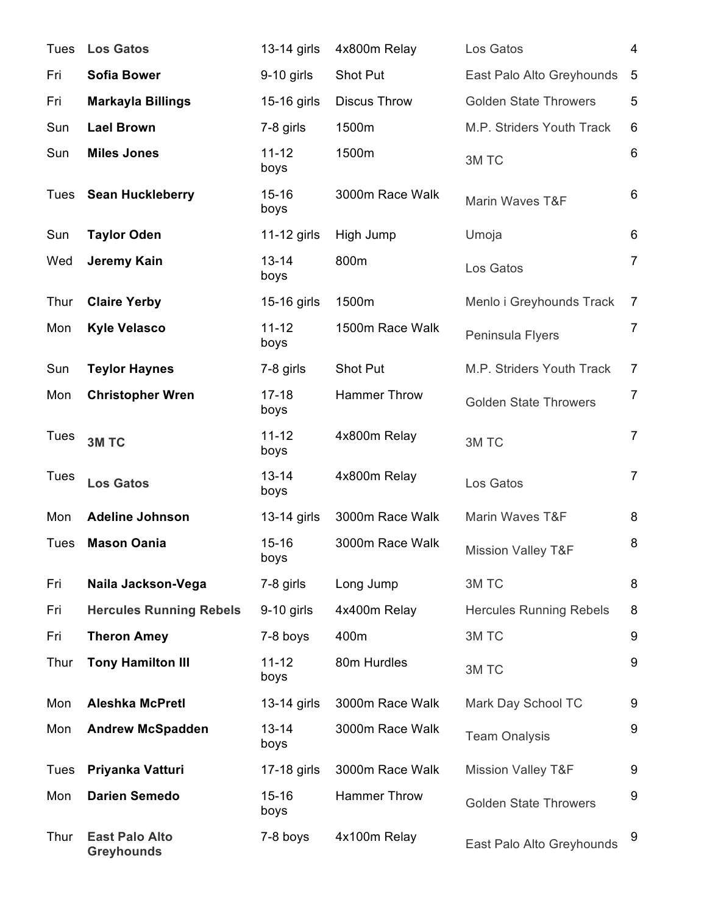| Tues        | <b>Los Gatos</b>                           | 13-14 girls       | 4x800m Relay        | Los Gatos                      | 4               |
|-------------|--------------------------------------------|-------------------|---------------------|--------------------------------|-----------------|
| Fri         | <b>Sofia Bower</b>                         | $9-10$ girls      | Shot Put            | East Palo Alto Greyhounds      | 5               |
| Fri         | <b>Markayla Billings</b>                   | 15-16 girls       | <b>Discus Throw</b> | <b>Golden State Throwers</b>   | 5               |
| Sun         | <b>Lael Brown</b>                          | 7-8 girls         | 1500m               | M.P. Striders Youth Track      | 6               |
| Sun         | <b>Miles Jones</b>                         | $11 - 12$<br>boys | 1500m               | 3M TC                          | $6\phantom{1}6$ |
| Tues        | <b>Sean Huckleberry</b>                    | $15 - 16$<br>boys | 3000m Race Walk     | Marin Waves T&F                | 6               |
| Sun         | <b>Taylor Oden</b>                         | $11-12$ girls     | High Jump           | Umoja                          | 6               |
| Wed         | Jeremy Kain                                | $13 - 14$<br>boys | 800m                | Los Gatos                      | $\overline{7}$  |
| Thur        | <b>Claire Yerby</b>                        | 15-16 girls       | 1500m               | Menlo i Greyhounds Track       | $\overline{7}$  |
| Mon         | <b>Kyle Velasco</b>                        | $11 - 12$<br>boys | 1500m Race Walk     | Peninsula Flyers               | $\overline{7}$  |
| Sun         | <b>Teylor Haynes</b>                       | 7-8 girls         | Shot Put            | M.P. Striders Youth Track      | $\overline{7}$  |
| Mon         | <b>Christopher Wren</b>                    | $17 - 18$<br>boys | <b>Hammer Throw</b> | <b>Golden State Throwers</b>   | $\overline{7}$  |
| <b>Tues</b> | 3M TC                                      | $11 - 12$<br>boys | 4x800m Relay        | 3M TC                          | $\overline{7}$  |
| <b>Tues</b> | <b>Los Gatos</b>                           | $13 - 14$<br>boys | 4x800m Relay        | Los Gatos                      | $\overline{7}$  |
| Mon         | <b>Adeline Johnson</b>                     | 13-14 girls       | 3000m Race Walk     | Marin Waves T&F                | 8               |
| Tues        | <b>Mason Oania</b>                         | $15 - 16$<br>boys | 3000m Race Walk     | <b>Mission Valley T&amp;F</b>  | 8               |
| Fri         | Naila Jackson-Vega                         | 7-8 girls         | Long Jump           | 3M TC                          | 8               |
| Fri         | <b>Hercules Running Rebels</b>             | $9-10$ girls      | 4x400m Relay        | <b>Hercules Running Rebels</b> | 8               |
| Fri         | <b>Theron Amey</b>                         | 7-8 boys          | 400m                | 3M TC                          | 9               |
| Thur        | <b>Tony Hamilton III</b>                   | $11 - 12$<br>boys | 80m Hurdles         | 3M TC                          | 9               |
| Mon         | <b>Aleshka McPretl</b>                     | 13-14 girls       | 3000m Race Walk     | Mark Day School TC             | 9               |
| Mon         | <b>Andrew McSpadden</b>                    | $13 - 14$<br>boys | 3000m Race Walk     | <b>Team Onalysis</b>           | 9               |
| Tues        | Priyanka Vatturi                           | 17-18 girls       | 3000m Race Walk     | <b>Mission Valley T&amp;F</b>  | 9               |
| Mon         | <b>Darien Semedo</b>                       | $15 - 16$<br>boys | <b>Hammer Throw</b> | <b>Golden State Throwers</b>   | 9               |
| Thur        | <b>East Palo Alto</b><br><b>Greyhounds</b> | 7-8 boys          | 4x100m Relay        | East Palo Alto Greyhounds      | 9               |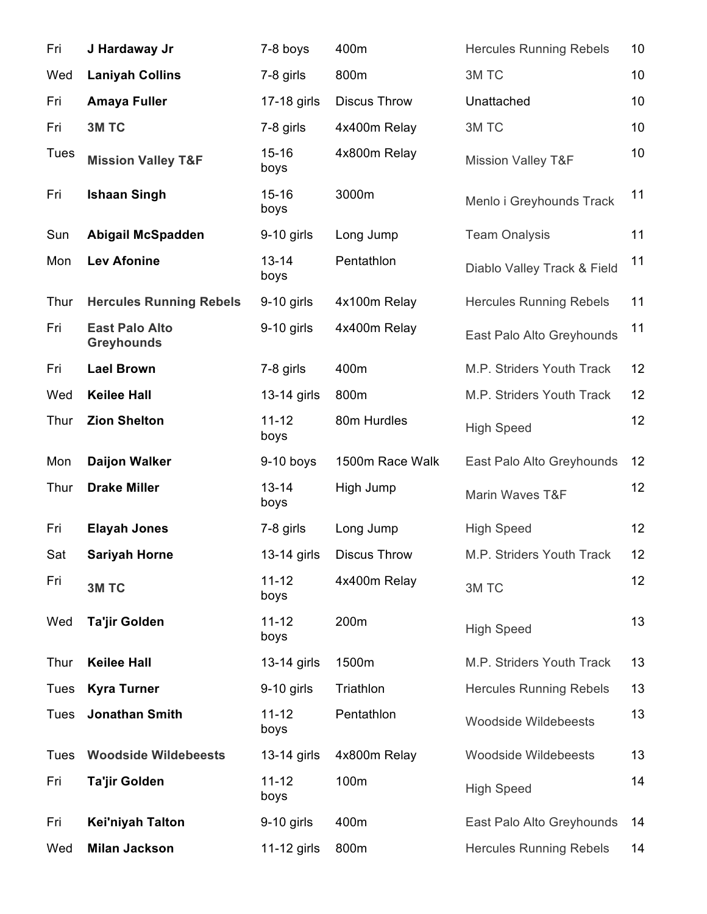| Fri         | J Hardaway Jr                              | 7-8 boys          | 400m                | <b>Hercules Running Rebels</b> | 10 |
|-------------|--------------------------------------------|-------------------|---------------------|--------------------------------|----|
| Wed         | <b>Laniyah Collins</b>                     | 7-8 girls         | 800m                | 3M TC                          | 10 |
| Fri         | <b>Amaya Fuller</b>                        | 17-18 girls       | <b>Discus Throw</b> | Unattached                     | 10 |
| Fri         | 3M TC                                      | 7-8 girls         | 4x400m Relay        | 3M TC                          | 10 |
| Tues        | <b>Mission Valley T&amp;F</b>              | $15 - 16$<br>boys | 4x800m Relay        | <b>Mission Valley T&amp;F</b>  | 10 |
| Fri         | <b>Ishaan Singh</b>                        | $15 - 16$<br>boys | 3000m               | Menlo i Greyhounds Track       | 11 |
| Sun         | <b>Abigail McSpadden</b>                   | $9-10$ girls      | Long Jump           | <b>Team Onalysis</b>           | 11 |
| Mon         | <b>Lev Afonine</b>                         | $13 - 14$<br>boys | Pentathlon          | Diablo Valley Track & Field    | 11 |
| Thur        | <b>Hercules Running Rebels</b>             | $9-10$ girls      | 4x100m Relay        | <b>Hercules Running Rebels</b> | 11 |
| Fri         | <b>East Palo Alto</b><br><b>Greyhounds</b> | $9-10$ girls      | 4x400m Relay        | East Palo Alto Greyhounds      | 11 |
| Fri         | <b>Lael Brown</b>                          | 7-8 girls         | 400m                | M.P. Striders Youth Track      | 12 |
| Wed         | <b>Keilee Hall</b>                         | 13-14 girls       | 800m                | M.P. Striders Youth Track      | 12 |
| Thur        | <b>Zion Shelton</b>                        | $11 - 12$<br>boys | 80m Hurdles         | <b>High Speed</b>              | 12 |
| Mon         | <b>Daijon Walker</b>                       | $9-10$ boys       | 1500m Race Walk     | East Palo Alto Greyhounds      | 12 |
| Thur        | <b>Drake Miller</b>                        | $13 - 14$<br>boys | High Jump           | Marin Waves T&F                | 12 |
| Fri         | <b>Elayah Jones</b>                        | 7-8 girls         | Long Jump           | <b>High Speed</b>              | 12 |
| Sat         | <b>Sariyah Horne</b>                       | $13-14$ girls     | <b>Discus Throw</b> | M.P. Striders Youth Track      | 12 |
| Fri         | 3M TC                                      | $11 - 12$<br>boys | 4x400m Relay        | 3M TC                          | 12 |
| Wed         | <b>Ta'jir Golden</b>                       | $11 - 12$<br>boys | 200m                | <b>High Speed</b>              | 13 |
| Thur        | <b>Keilee Hall</b>                         | 13-14 girls       | 1500m               | M.P. Striders Youth Track      | 13 |
| Tues        | <b>Kyra Turner</b>                         | $9-10$ girls      | Triathlon           | <b>Hercules Running Rebels</b> | 13 |
| Tues        | Jonathan Smith                             | $11 - 12$<br>boys | Pentathlon          | <b>Woodside Wildebeests</b>    | 13 |
| <b>Tues</b> | <b>Woodside Wildebeests</b>                | 13-14 girls       | 4x800m Relay        | <b>Woodside Wildebeests</b>    | 13 |
| Fri         | Ta'jir Golden                              | $11 - 12$<br>boys | 100m                | <b>High Speed</b>              | 14 |
| Fri         | Kei'niyah Talton                           | $9-10$ girls      | 400m                | East Palo Alto Greyhounds      | 14 |
| Wed         | <b>Milan Jackson</b>                       | 11-12 girls       | 800m                | <b>Hercules Running Rebels</b> | 14 |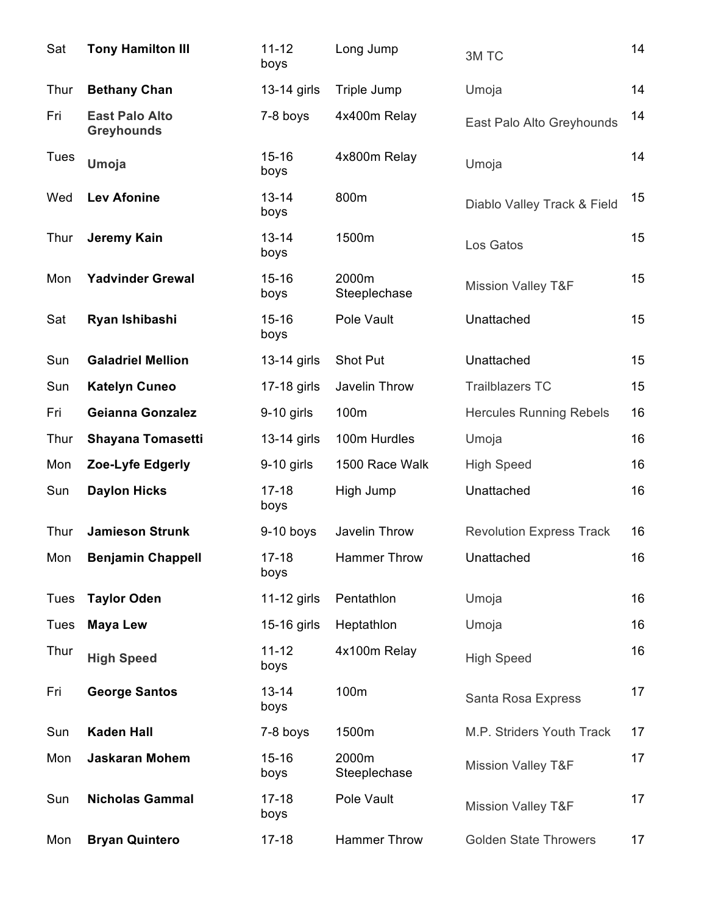| Sat         | <b>Tony Hamilton III</b>                   | $11 - 12$<br>boys | Long Jump             | 3M TC                           | 14 |
|-------------|--------------------------------------------|-------------------|-----------------------|---------------------------------|----|
| Thur        | <b>Bethany Chan</b>                        | 13-14 girls       | Triple Jump           | Umoja                           | 14 |
| Fri         | <b>East Palo Alto</b><br><b>Greyhounds</b> | 7-8 boys          | 4x400m Relay          | East Palo Alto Greyhounds       | 14 |
| <b>Tues</b> | Umoja                                      | $15 - 16$<br>boys | 4x800m Relay          | Umoja                           | 14 |
| Wed         | <b>Lev Afonine</b>                         | $13 - 14$<br>boys | 800m                  | Diablo Valley Track & Field     | 15 |
| Thur        | Jeremy Kain                                | $13 - 14$<br>boys | 1500m                 | Los Gatos                       | 15 |
| Mon         | <b>Yadvinder Grewal</b>                    | $15 - 16$<br>boys | 2000m<br>Steeplechase | <b>Mission Valley T&amp;F</b>   | 15 |
| Sat         | Ryan Ishibashi                             | $15 - 16$<br>boys | Pole Vault            | Unattached                      | 15 |
| Sun         | <b>Galadriel Mellion</b>                   | 13-14 girls       | Shot Put              | Unattached                      | 15 |
| Sun         | <b>Katelyn Cuneo</b>                       | 17-18 girls       | Javelin Throw         | <b>Trailblazers TC</b>          | 15 |
| Fri         | <b>Geianna Gonzalez</b>                    | $9-10$ girls      | 100m                  | <b>Hercules Running Rebels</b>  | 16 |
| Thur        | <b>Shayana Tomasetti</b>                   | 13-14 girls       | 100m Hurdles          | Umoja                           | 16 |
| Mon         | Zoe-Lyfe Edgerly                           | 9-10 girls        | 1500 Race Walk        | <b>High Speed</b>               | 16 |
| Sun         | <b>Daylon Hicks</b>                        | $17 - 18$<br>boys | High Jump             | Unattached                      | 16 |
| Thur        | <b>Jamieson Strunk</b>                     | $9-10$ boys       | Javelin Throw         | <b>Revolution Express Track</b> | 16 |
| Mon         | <b>Benjamin Chappell</b>                   | $17 - 18$<br>boys | Hammer Throw          | Unattached                      | 16 |
| <b>Tues</b> | <b>Taylor Oden</b>                         | 11-12 girls       | Pentathlon            | Umoja                           | 16 |
| <b>Tues</b> | <b>Maya Lew</b>                            | 15-16 girls       | Heptathlon            | Umoja                           | 16 |
| Thur        | <b>High Speed</b>                          | $11 - 12$<br>boys | 4x100m Relay          | <b>High Speed</b>               | 16 |
| Fri         | <b>George Santos</b>                       | $13 - 14$<br>boys | 100m                  | Santa Rosa Express              | 17 |
| Sun         | <b>Kaden Hall</b>                          | 7-8 boys          | 1500m                 | M.P. Striders Youth Track       | 17 |
| Mon         | <b>Jaskaran Mohem</b>                      | $15 - 16$<br>boys | 2000m<br>Steeplechase | <b>Mission Valley T&amp;F</b>   | 17 |
| Sun         | <b>Nicholas Gammal</b>                     | $17 - 18$<br>boys | Pole Vault            | <b>Mission Valley T&amp;F</b>   | 17 |
| Mon         | <b>Bryan Quintero</b>                      | $17 - 18$         | <b>Hammer Throw</b>   | <b>Golden State Throwers</b>    | 17 |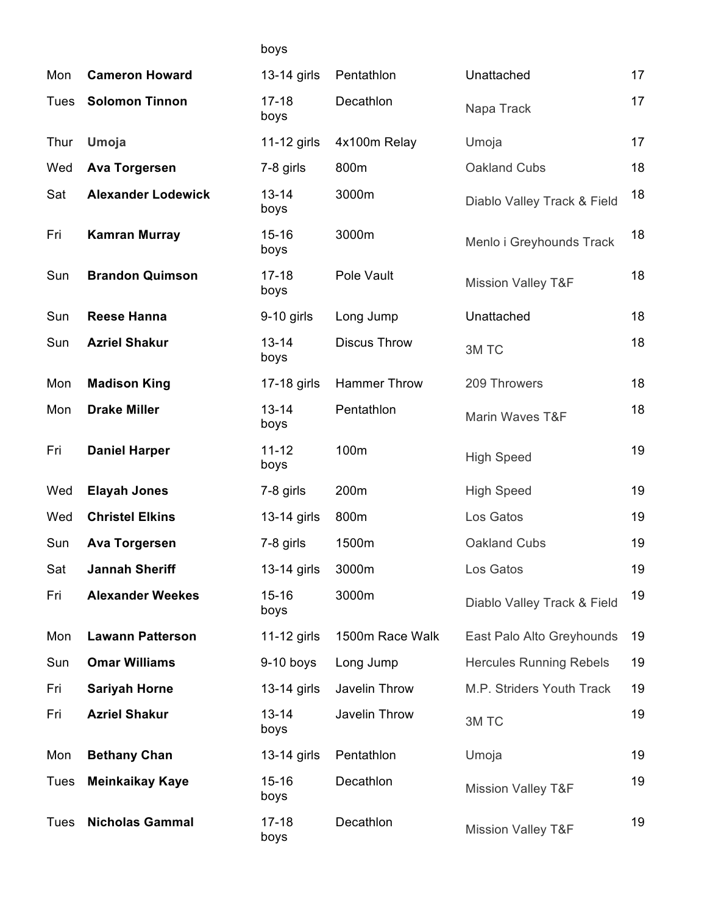|      |                           | boys              |                     |                                |    |
|------|---------------------------|-------------------|---------------------|--------------------------------|----|
| Mon  | <b>Cameron Howard</b>     | 13-14 girls       | Pentathlon          | Unattached                     | 17 |
| Tues | <b>Solomon Tinnon</b>     | $17 - 18$<br>boys | Decathlon           | Napa Track                     | 17 |
| Thur | Umoja                     | $11-12$ girls     | 4x100m Relay        | Umoja                          | 17 |
| Wed  | <b>Ava Torgersen</b>      | 7-8 girls         | 800m                | Oakland Cubs                   | 18 |
| Sat  | <b>Alexander Lodewick</b> | $13 - 14$<br>boys | 3000m               | Diablo Valley Track & Field    | 18 |
| Fri  | <b>Kamran Murray</b>      | $15 - 16$<br>boys | 3000m               | Menlo i Greyhounds Track       | 18 |
| Sun  | <b>Brandon Quimson</b>    | $17 - 18$<br>boys | Pole Vault          | <b>Mission Valley T&amp;F</b>  | 18 |
| Sun  | <b>Reese Hanna</b>        | $9-10$ girls      | Long Jump           | Unattached                     | 18 |
| Sun  | <b>Azriel Shakur</b>      | $13 - 14$<br>boys | <b>Discus Throw</b> | 3M TC                          | 18 |
| Mon  | <b>Madison King</b>       | 17-18 girls       | <b>Hammer Throw</b> | 209 Throwers                   | 18 |
| Mon  | <b>Drake Miller</b>       | $13 - 14$<br>boys | Pentathlon          | Marin Waves T&F                | 18 |
| Fri  | <b>Daniel Harper</b>      | $11 - 12$<br>boys | 100m                | <b>High Speed</b>              | 19 |
| Wed  | <b>Elayah Jones</b>       | 7-8 girls         | 200m                | <b>High Speed</b>              | 19 |
| Wed  | <b>Christel Elkins</b>    | 13-14 girls       | 800m                | Los Gatos                      | 19 |
| Sun  | <b>Ava Torgersen</b>      | 7-8 girls         | 1500m               | Oakland Cubs                   | 19 |
| Sat  | <b>Jannah Sheriff</b>     | 13-14 girls       | 3000m               | Los Gatos                      | 19 |
| Fri  | <b>Alexander Weekes</b>   | $15 - 16$<br>boys | 3000m               | Diablo Valley Track & Field    | 19 |
| Mon  | <b>Lawann Patterson</b>   | 11-12 girls       | 1500m Race Walk     | East Palo Alto Greyhounds      | 19 |
| Sun  | <b>Omar Williams</b>      | $9-10$ boys       | Long Jump           | <b>Hercules Running Rebels</b> | 19 |
| Fri  | <b>Sariyah Horne</b>      | 13-14 girls       | Javelin Throw       | M.P. Striders Youth Track      | 19 |
| Fri  | <b>Azriel Shakur</b>      | $13 - 14$<br>boys | Javelin Throw       | 3M TC                          | 19 |
| Mon  | <b>Bethany Chan</b>       | 13-14 girls       | Pentathlon          | Umoja                          | 19 |
| Tues | <b>Meinkaikay Kaye</b>    | $15 - 16$<br>boys | Decathlon           | <b>Mission Valley T&amp;F</b>  | 19 |
| Tues | <b>Nicholas Gammal</b>    | $17 - 18$<br>boys | Decathlon           | <b>Mission Valley T&amp;F</b>  | 19 |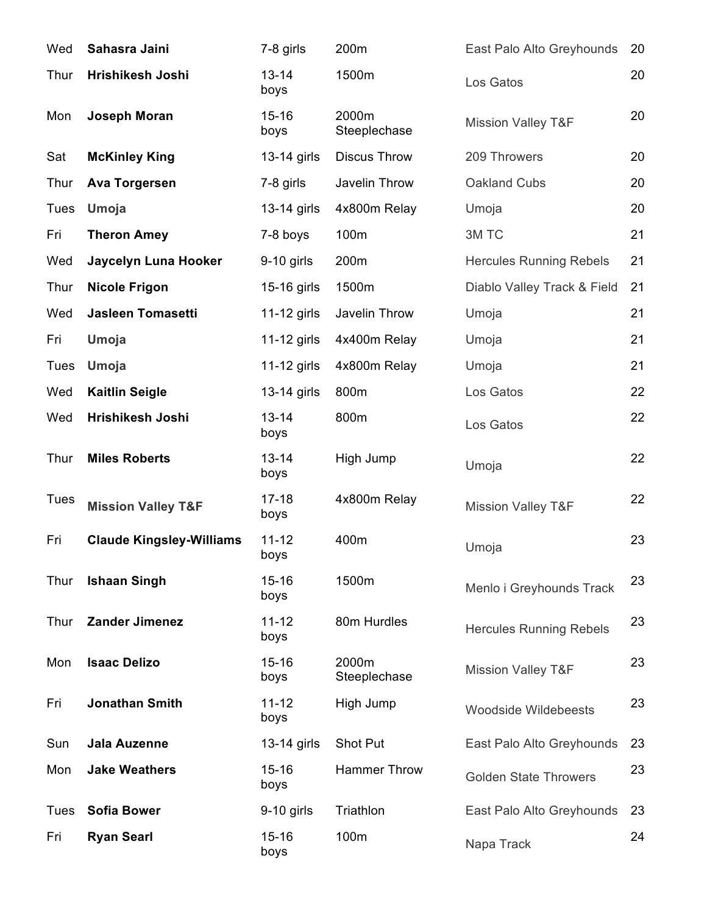| Wed         | Sahasra Jaini                   | 7-8 girls         | 200m                  | East Palo Alto Greyhounds      | 20 |
|-------------|---------------------------------|-------------------|-----------------------|--------------------------------|----|
| Thur        | Hrishikesh Joshi                | $13 - 14$<br>boys | 1500m                 | Los Gatos                      | 20 |
| Mon         | <b>Joseph Moran</b>             | $15 - 16$<br>boys | 2000m<br>Steeplechase | <b>Mission Valley T&amp;F</b>  | 20 |
| Sat         | <b>McKinley King</b>            | 13-14 girls       | <b>Discus Throw</b>   | 209 Throwers                   | 20 |
| Thur        | <b>Ava Torgersen</b>            | 7-8 girls         | Javelin Throw         | Oakland Cubs                   | 20 |
| <b>Tues</b> | Umoja                           | 13-14 girls       | 4x800m Relay          | Umoja                          | 20 |
| Fri         | <b>Theron Amey</b>              | 7-8 boys          | 100m                  | 3M TC                          | 21 |
| Wed         | Jaycelyn Luna Hooker            | $9-10$ girls      | 200m                  | <b>Hercules Running Rebels</b> | 21 |
| Thur        | <b>Nicole Frigon</b>            | 15-16 girls       | 1500m                 | Diablo Valley Track & Field    | 21 |
| Wed         | Jasleen Tomasetti               | 11-12 girls       | Javelin Throw         | Umoja                          | 21 |
| Fri         | Umoja                           | $11-12$ girls     | 4x400m Relay          | Umoja                          | 21 |
| <b>Tues</b> | Umoja                           | $11-12$ girls     | 4x800m Relay          | Umoja                          | 21 |
| Wed         | <b>Kaitlin Seigle</b>           | 13-14 girls       | 800m                  | Los Gatos                      | 22 |
| Wed         | Hrishikesh Joshi                | $13 - 14$<br>boys | 800m                  | Los Gatos                      | 22 |
| Thur        | <b>Miles Roberts</b>            | $13 - 14$<br>boys | High Jump             | Umoja                          | 22 |
| <b>Tues</b> | <b>Mission Valley T&amp;F</b>   | $17 - 18$<br>boys | 4x800m Relay          | <b>Mission Valley T&amp;F</b>  | 22 |
| Fri         | <b>Claude Kingsley-Williams</b> | $11 - 12$<br>boys | 400m                  | Umoja                          | 23 |
| Thur        | <b>Ishaan Singh</b>             | $15 - 16$<br>boys | 1500m                 | Menlo i Greyhounds Track       | 23 |
| Thur        | <b>Zander Jimenez</b>           | $11 - 12$<br>boys | 80m Hurdles           | <b>Hercules Running Rebels</b> | 23 |
| Mon         | <b>Isaac Delizo</b>             | $15 - 16$<br>boys | 2000m<br>Steeplechase | <b>Mission Valley T&amp;F</b>  | 23 |
| Fri         | <b>Jonathan Smith</b>           | $11 - 12$<br>boys | High Jump             | <b>Woodside Wildebeests</b>    | 23 |
| Sun         | Jala Auzenne                    | 13-14 girls       | Shot Put              | East Palo Alto Greyhounds      | 23 |
| Mon         | <b>Jake Weathers</b>            | $15 - 16$<br>boys | <b>Hammer Throw</b>   | <b>Golden State Throwers</b>   | 23 |
| Tues        | <b>Sofia Bower</b>              | $9-10$ girls      | Triathlon             | East Palo Alto Greyhounds      | 23 |
| Fri         | <b>Ryan Searl</b>               | $15 - 16$<br>boys | 100m                  | Napa Track                     | 24 |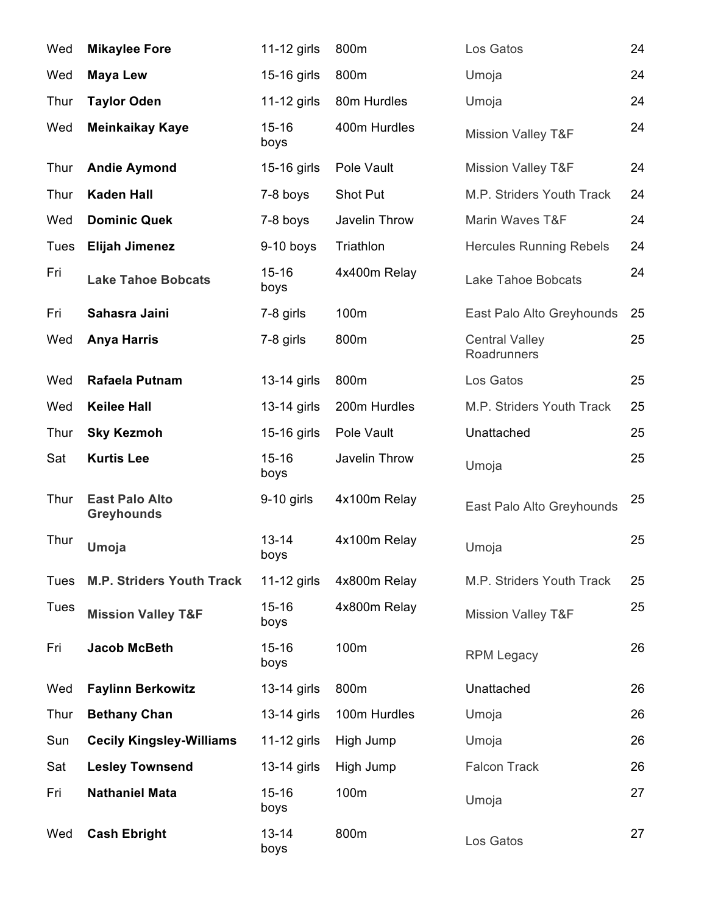| Wed         | <b>Mikaylee Fore</b>                       | 11-12 girls       | 800m          | Los Gatos                            | 24 |
|-------------|--------------------------------------------|-------------------|---------------|--------------------------------------|----|
| Wed         | <b>Maya Lew</b>                            | 15-16 girls       | 800m          | Umoja                                | 24 |
| Thur        | <b>Taylor Oden</b>                         | 11-12 girls       | 80m Hurdles   | Umoja                                | 24 |
| Wed         | <b>Meinkaikay Kaye</b>                     | $15 - 16$<br>boys | 400m Hurdles  | <b>Mission Valley T&amp;F</b>        | 24 |
| Thur        | <b>Andie Aymond</b>                        | 15-16 girls       | Pole Vault    | <b>Mission Valley T&amp;F</b>        | 24 |
| Thur        | <b>Kaden Hall</b>                          | 7-8 boys          | Shot Put      | M.P. Striders Youth Track            | 24 |
| Wed         | <b>Dominic Quek</b>                        | 7-8 boys          | Javelin Throw | Marin Waves T&F                      | 24 |
| <b>Tues</b> | <b>Elijah Jimenez</b>                      | $9-10$ boys       | Triathlon     | <b>Hercules Running Rebels</b>       | 24 |
| Fri         | <b>Lake Tahoe Bobcats</b>                  | $15 - 16$<br>boys | 4x400m Relay  | Lake Tahoe Bobcats                   | 24 |
| Fri         | Sahasra Jaini                              | 7-8 girls         | 100m          | East Palo Alto Greyhounds            | 25 |
| Wed         | <b>Anya Harris</b>                         | 7-8 girls         | 800m          | <b>Central Valley</b><br>Roadrunners | 25 |
| Wed         | Rafaela Putnam                             | 13-14 girls       | 800m          | Los Gatos                            | 25 |
| Wed         | <b>Keilee Hall</b>                         | 13-14 girls       | 200m Hurdles  | M.P. Striders Youth Track            | 25 |
| Thur        | <b>Sky Kezmoh</b>                          | 15-16 girls       | Pole Vault    | Unattached                           | 25 |
| Sat         | <b>Kurtis Lee</b>                          | $15 - 16$<br>boys | Javelin Throw | Umoja                                | 25 |
| Thur        | <b>East Palo Alto</b><br><b>Greyhounds</b> | $9-10$ girls      | 4x100m Relay  | East Palo Alto Greyhounds            | 25 |
| Thur        | Umoja                                      | $13 - 14$<br>boys | 4x100m Relay  | Umoja                                | 25 |
| <b>Tues</b> | <b>M.P. Striders Youth Track</b>           | 11-12 girls       | 4x800m Relay  | M.P. Striders Youth Track            | 25 |
| <b>Tues</b> | <b>Mission Valley T&amp;F</b>              | $15 - 16$<br>boys | 4x800m Relay  | <b>Mission Valley T&amp;F</b>        | 25 |
| Fri         | <b>Jacob McBeth</b>                        | $15 - 16$<br>boys | 100m          | <b>RPM Legacy</b>                    | 26 |
| Wed         | <b>Faylinn Berkowitz</b>                   | 13-14 girls       | 800m          | Unattached                           | 26 |
| Thur        | <b>Bethany Chan</b>                        | 13-14 girls       | 100m Hurdles  | Umoja                                | 26 |
| Sun         | <b>Cecily Kingsley-Williams</b>            | 11-12 girls       | High Jump     | Umoja                                | 26 |
| Sat         | <b>Lesley Townsend</b>                     | 13-14 girls       | High Jump     | <b>Falcon Track</b>                  | 26 |
| Fri         | <b>Nathaniel Mata</b>                      | $15 - 16$<br>boys | 100m          | Umoja                                | 27 |
| Wed         | <b>Cash Ebright</b>                        | $13 - 14$<br>boys | 800m          | Los Gatos                            | 27 |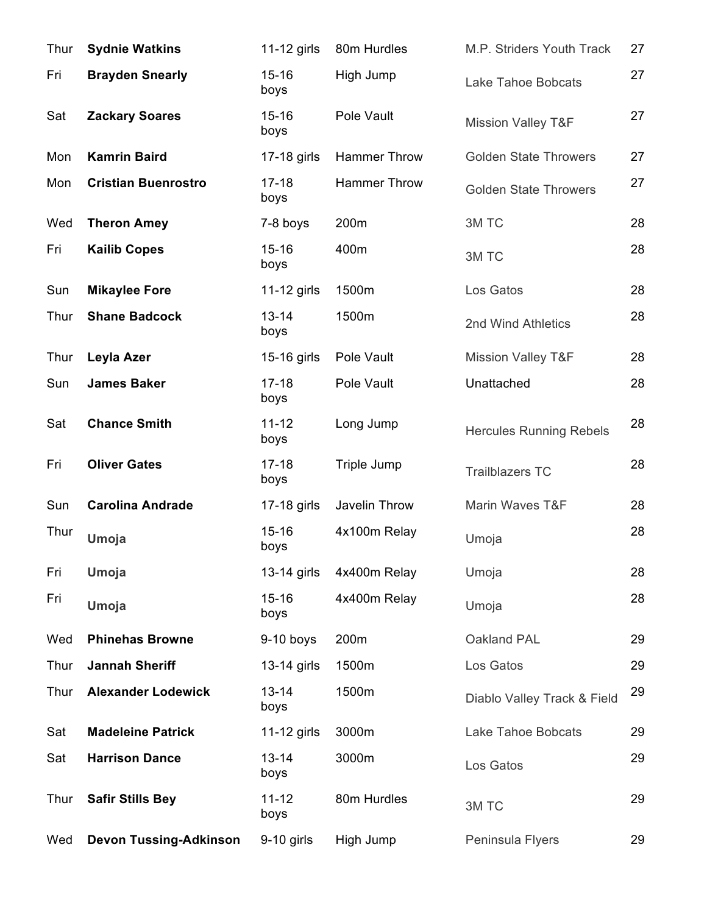| Thur | <b>Sydnie Watkins</b>         | 11-12 girls       | 80m Hurdles         | M.P. Striders Youth Track      | 27 |
|------|-------------------------------|-------------------|---------------------|--------------------------------|----|
| Fri  | <b>Brayden Snearly</b>        | $15 - 16$<br>boys | High Jump           | <b>Lake Tahoe Bobcats</b>      | 27 |
| Sat  | <b>Zackary Soares</b>         | $15 - 16$<br>boys | Pole Vault          | <b>Mission Valley T&amp;F</b>  | 27 |
| Mon  | <b>Kamrin Baird</b>           | 17-18 girls       | <b>Hammer Throw</b> | <b>Golden State Throwers</b>   | 27 |
| Mon  | <b>Cristian Buenrostro</b>    | $17 - 18$<br>boys | <b>Hammer Throw</b> | <b>Golden State Throwers</b>   | 27 |
| Wed  | <b>Theron Amey</b>            | 7-8 boys          | 200m                | 3M TC                          | 28 |
| Fri  | <b>Kailib Copes</b>           | $15 - 16$<br>boys | 400m                | 3M TC                          | 28 |
| Sun  | <b>Mikaylee Fore</b>          | 11-12 girls       | 1500m               | Los Gatos                      | 28 |
| Thur | <b>Shane Badcock</b>          | $13 - 14$<br>boys | 1500m               | 2nd Wind Athletics             | 28 |
| Thur | Leyla Azer                    | 15-16 girls       | Pole Vault          | <b>Mission Valley T&amp;F</b>  | 28 |
| Sun  | <b>James Baker</b>            | $17 - 18$<br>boys | Pole Vault          | Unattached                     | 28 |
| Sat  | <b>Chance Smith</b>           | $11 - 12$<br>boys | Long Jump           | <b>Hercules Running Rebels</b> | 28 |
| Fri  | <b>Oliver Gates</b>           | $17 - 18$<br>boys | Triple Jump         | <b>Trailblazers TC</b>         | 28 |
| Sun  | <b>Carolina Andrade</b>       | 17-18 girls       | Javelin Throw       | Marin Waves T&F                | 28 |
| Thur | Umoja                         | $15 - 16$<br>boys | 4x100m Relay        | Umoja                          | 28 |
| Fri  | Umoja                         | 13-14 girls       | 4x400m Relay        | Umoja                          | 28 |
| Fri  | Umoja                         | $15 - 16$<br>boys | 4x400m Relay        | Umoja                          | 28 |
| Wed  | <b>Phinehas Browne</b>        | 9-10 boys         | 200m                | Oakland PAL                    | 29 |
| Thur | <b>Jannah Sheriff</b>         | 13-14 girls       | 1500m               | Los Gatos                      | 29 |
| Thur | <b>Alexander Lodewick</b>     | $13 - 14$<br>boys | 1500m               | Diablo Valley Track & Field    | 29 |
| Sat  | <b>Madeleine Patrick</b>      | 11-12 girls       | 3000m               | Lake Tahoe Bobcats             | 29 |
| Sat  | <b>Harrison Dance</b>         | $13 - 14$<br>boys | 3000m               | Los Gatos                      | 29 |
| Thur | <b>Safir Stills Bey</b>       | $11 - 12$<br>boys | 80m Hurdles         | 3M TC                          | 29 |
| Wed  | <b>Devon Tussing-Adkinson</b> | $9-10$ girls      | High Jump           | Peninsula Flyers               | 29 |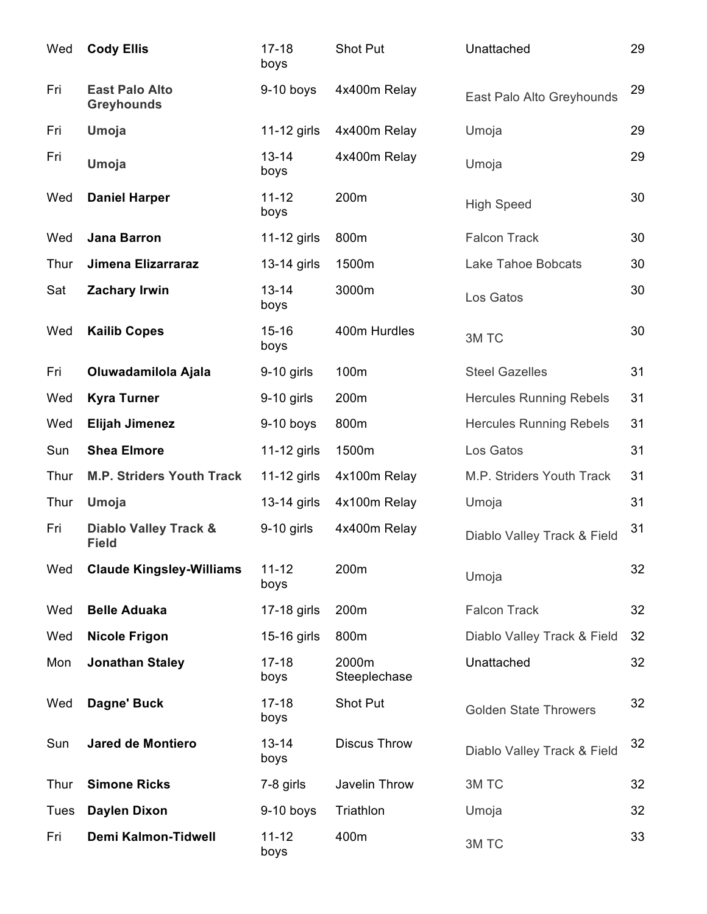| Wed         | <b>Cody Ellis</b>                                | $17 - 18$<br>boys | Shot Put              | Unattached                     | 29 |
|-------------|--------------------------------------------------|-------------------|-----------------------|--------------------------------|----|
| Fri         | <b>East Palo Alto</b><br><b>Greyhounds</b>       | $9-10$ boys       | 4x400m Relay          | East Palo Alto Greyhounds      | 29 |
| Fri         | Umoja                                            | 11-12 girls       | 4x400m Relay          | Umoja                          | 29 |
| Fri         | Umoja                                            | $13 - 14$<br>boys | 4x400m Relay          | Umoja                          | 29 |
| Wed         | <b>Daniel Harper</b>                             | $11 - 12$<br>boys | 200m                  | <b>High Speed</b>              | 30 |
| Wed         | <b>Jana Barron</b>                               | $11-12$ girls     | 800m                  | <b>Falcon Track</b>            | 30 |
| Thur        | Jimena Elizarraraz                               | 13-14 girls       | 1500m                 | Lake Tahoe Bobcats             | 30 |
| Sat         | <b>Zachary Irwin</b>                             | $13 - 14$<br>boys | 3000m                 | Los Gatos                      | 30 |
| Wed         | <b>Kailib Copes</b>                              | $15 - 16$<br>boys | 400m Hurdles          | 3M TC                          | 30 |
| Fri         | Oluwadamilola Ajala                              | $9-10$ girls      | 100m                  | <b>Steel Gazelles</b>          | 31 |
| Wed         | <b>Kyra Turner</b>                               | 9-10 girls        | 200m                  | <b>Hercules Running Rebels</b> | 31 |
| Wed         | <b>Elijah Jimenez</b>                            | $9-10$ boys       | 800m                  | <b>Hercules Running Rebels</b> | 31 |
| Sun         | <b>Shea Elmore</b>                               | 11-12 girls       | 1500m                 | Los Gatos                      | 31 |
| Thur        | <b>M.P. Striders Youth Track</b>                 | 11-12 girls       | 4x100m Relay          | M.P. Striders Youth Track      | 31 |
| Thur        | Umoja                                            | 13-14 girls       | 4x100m Relay          | Umoja                          | 31 |
| Fri         | <b>Diablo Valley Track &amp;</b><br><b>Field</b> | $9-10$ girls      | 4x400m Relay          | Diablo Valley Track & Field    | 31 |
| Wed         | <b>Claude Kingsley-Williams</b>                  | $11 - 12$<br>boys | 200m                  | Umoja                          | 32 |
| Wed         | <b>Belle Aduaka</b>                              | 17-18 girls       | 200m                  | <b>Falcon Track</b>            | 32 |
| Wed         | <b>Nicole Frigon</b>                             | 15-16 girls       | 800m                  | Diablo Valley Track & Field    | 32 |
| Mon         | <b>Jonathan Staley</b>                           | $17 - 18$<br>boys | 2000m<br>Steeplechase | Unattached                     | 32 |
| Wed         | Dagne' Buck                                      | $17 - 18$<br>boys | <b>Shot Put</b>       | <b>Golden State Throwers</b>   | 32 |
| Sun         | <b>Jared de Montiero</b>                         | $13 - 14$<br>boys | <b>Discus Throw</b>   | Diablo Valley Track & Field    | 32 |
| Thur        | <b>Simone Ricks</b>                              | 7-8 girls         | Javelin Throw         | 3M TC                          | 32 |
| <b>Tues</b> | <b>Daylen Dixon</b>                              | $9-10$ boys       | Triathlon             | Umoja                          | 32 |
| Fri         | <b>Demi Kalmon-Tidwell</b>                       | $11 - 12$<br>boys | 400m                  | 3M TC                          | 33 |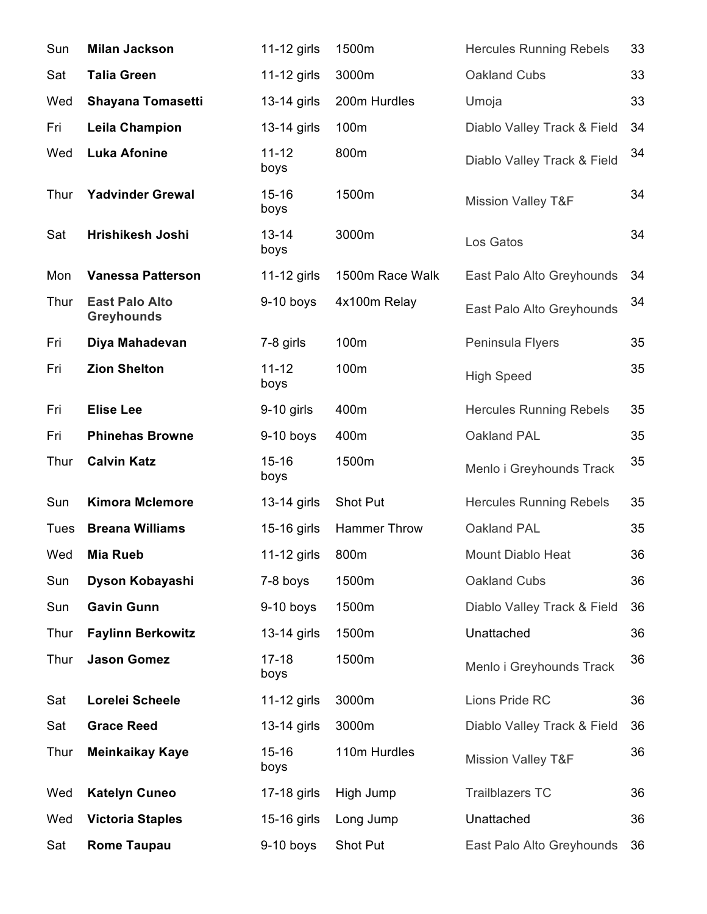| Sun         | <b>Milan Jackson</b>                       | 11-12 girls       | 1500m               | <b>Hercules Running Rebels</b> | 33 |
|-------------|--------------------------------------------|-------------------|---------------------|--------------------------------|----|
| Sat         | <b>Talia Green</b>                         | 11-12 girls       | 3000m               | Oakland Cubs                   | 33 |
| Wed         | <b>Shayana Tomasetti</b>                   | 13-14 girls       | 200m Hurdles        | Umoja                          | 33 |
| Fri         | <b>Leila Champion</b>                      | 13-14 girls       | 100m                | Diablo Valley Track & Field    | 34 |
| Wed         | <b>Luka Afonine</b>                        | $11 - 12$<br>boys | 800m                | Diablo Valley Track & Field    | 34 |
| Thur        | <b>Yadvinder Grewal</b>                    | $15 - 16$<br>boys | 1500m               | <b>Mission Valley T&amp;F</b>  | 34 |
| Sat         | Hrishikesh Joshi                           | $13 - 14$<br>boys | 3000m               | Los Gatos                      | 34 |
| Mon         | <b>Vanessa Patterson</b>                   | $11-12$ girls     | 1500m Race Walk     | East Palo Alto Greyhounds      | 34 |
| Thur        | <b>East Palo Alto</b><br><b>Greyhounds</b> | $9-10$ boys       | 4x100m Relay        | East Palo Alto Greyhounds      | 34 |
| Fri         | Diya Mahadevan                             | 7-8 girls         | 100m                | Peninsula Flyers               | 35 |
| Fri         | <b>Zion Shelton</b>                        | $11 - 12$<br>boys | 100m                | <b>High Speed</b>              | 35 |
| Fri         | <b>Elise Lee</b>                           | $9-10$ girls      | 400m                | <b>Hercules Running Rebels</b> | 35 |
| Fri         | <b>Phinehas Browne</b>                     | $9-10$ boys       | 400m                | Oakland PAL                    | 35 |
| Thur        | <b>Calvin Katz</b>                         | $15 - 16$<br>boys | 1500m               | Menlo i Greyhounds Track       | 35 |
| Sun         | <b>Kimora Mclemore</b>                     | 13-14 girls       | Shot Put            | <b>Hercules Running Rebels</b> | 35 |
| <b>Tues</b> | <b>Breana Williams</b>                     | 15-16 girls       | <b>Hammer Throw</b> | Oakland PAL                    | 35 |
| Wed         | <b>Mia Rueb</b>                            | 11-12 girls       | 800m                | Mount Diablo Heat              | 36 |
| Sun         | Dyson Kobayashi                            | 7-8 boys          | 1500m               | Oakland Cubs                   | 36 |
| Sun         | <b>Gavin Gunn</b>                          | $9-10$ boys       | 1500m               | Diablo Valley Track & Field    | 36 |
| Thur        | <b>Faylinn Berkowitz</b>                   | 13-14 girls       | 1500m               | Unattached                     | 36 |
| Thur        | <b>Jason Gomez</b>                         | $17 - 18$<br>boys | 1500m               | Menlo i Greyhounds Track       | 36 |
| Sat         | Lorelei Scheele                            | 11-12 girls       | 3000m               | Lions Pride RC                 | 36 |
| Sat         | <b>Grace Reed</b>                          | 13-14 girls       | 3000m               | Diablo Valley Track & Field    | 36 |
| Thur        | <b>Meinkaikay Kaye</b>                     | $15 - 16$<br>boys | 110m Hurdles        | <b>Mission Valley T&amp;F</b>  | 36 |
| Wed         | <b>Katelyn Cuneo</b>                       | 17-18 girls       | High Jump           | <b>Trailblazers TC</b>         | 36 |
| Wed         | <b>Victoria Staples</b>                    | 15-16 girls       | Long Jump           | Unattached                     | 36 |
| Sat         | <b>Rome Taupau</b>                         | 9-10 boys         | Shot Put            | East Palo Alto Greyhounds      | 36 |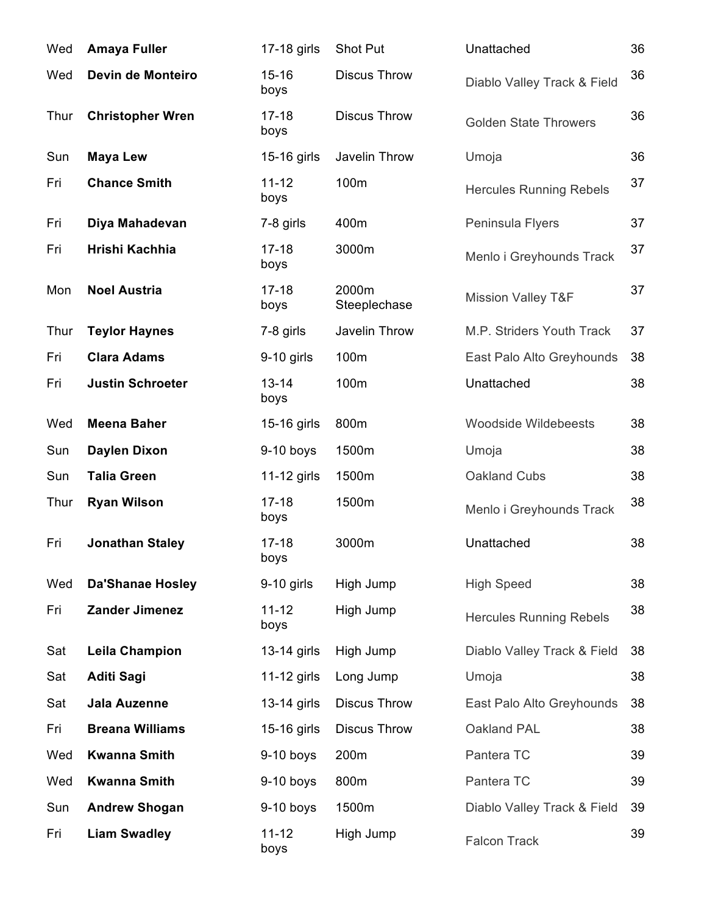| Wed  | <b>Amaya Fuller</b>     | 17-18 girls       | Shot Put              | Unattached                     | 36 |
|------|-------------------------|-------------------|-----------------------|--------------------------------|----|
| Wed  | Devin de Monteiro       | $15 - 16$<br>boys | <b>Discus Throw</b>   | Diablo Valley Track & Field    | 36 |
| Thur | <b>Christopher Wren</b> | $17 - 18$<br>boys | <b>Discus Throw</b>   | <b>Golden State Throwers</b>   | 36 |
| Sun  | <b>Maya Lew</b>         | 15-16 girls       | Javelin Throw         | Umoja                          | 36 |
| Fri  | <b>Chance Smith</b>     | $11 - 12$<br>boys | 100m                  | <b>Hercules Running Rebels</b> | 37 |
| Fri  | Diya Mahadevan          | 7-8 girls         | 400m                  | Peninsula Flyers               | 37 |
| Fri  | Hrishi Kachhia          | $17 - 18$<br>boys | 3000m                 | Menlo i Greyhounds Track       | 37 |
| Mon  | <b>Noel Austria</b>     | $17 - 18$<br>boys | 2000m<br>Steeplechase | <b>Mission Valley T&amp;F</b>  | 37 |
| Thur | <b>Teylor Haynes</b>    | 7-8 girls         | Javelin Throw         | M.P. Striders Youth Track      | 37 |
| Fri  | <b>Clara Adams</b>      | $9-10$ girls      | 100m                  | East Palo Alto Greyhounds      | 38 |
| Fri  | <b>Justin Schroeter</b> | $13 - 14$<br>boys | 100m                  | Unattached                     | 38 |
| Wed  | <b>Meena Baher</b>      | 15-16 girls       | 800m                  | <b>Woodside Wildebeests</b>    | 38 |
| Sun  | <b>Daylen Dixon</b>     | $9-10$ boys       | 1500m                 | Umoja                          | 38 |
| Sun  | <b>Talia Green</b>      | 11-12 girls       | 1500m                 | Oakland Cubs                   | 38 |
| Thur | <b>Ryan Wilson</b>      | $17 - 18$<br>boys | 1500m                 | Menlo i Greyhounds Track       | 38 |
| Fri  | <b>Jonathan Staley</b>  | $17 - 18$<br>boys | 3000m                 | Unattached                     | 38 |
| Wed  | <b>Da'Shanae Hosley</b> | $9-10$ girls      | High Jump             | <b>High Speed</b>              | 38 |
| Fri  | <b>Zander Jimenez</b>   | $11 - 12$<br>boys | High Jump             | <b>Hercules Running Rebels</b> | 38 |
| Sat  | <b>Leila Champion</b>   | 13-14 girls       | High Jump             | Diablo Valley Track & Field    | 38 |
| Sat  | <b>Aditi Sagi</b>       | 11-12 girls       | Long Jump             | Umoja                          | 38 |
| Sat  | <b>Jala Auzenne</b>     | 13-14 girls       | <b>Discus Throw</b>   | East Palo Alto Greyhounds      | 38 |
| Fri  | <b>Breana Williams</b>  | 15-16 girls       | <b>Discus Throw</b>   | Oakland PAL                    | 38 |
| Wed  | <b>Kwanna Smith</b>     | $9-10$ boys       | 200m                  | Pantera TC                     | 39 |
| Wed  | <b>Kwanna Smith</b>     | $9-10$ boys       | 800m                  | Pantera TC                     | 39 |
| Sun  | <b>Andrew Shogan</b>    | $9-10$ boys       | 1500m                 | Diablo Valley Track & Field    | 39 |
| Fri  | <b>Liam Swadley</b>     | $11 - 12$<br>boys | High Jump             | <b>Falcon Track</b>            | 39 |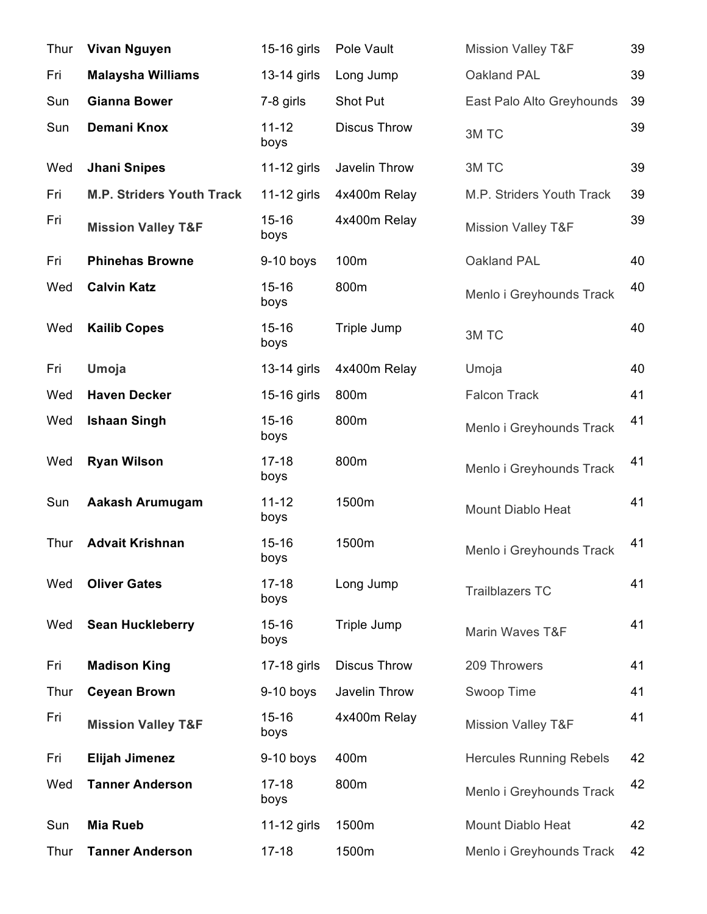| Thur | <b>Vivan Nguyen</b>              | 15-16 girls       | Pole Vault          | <b>Mission Valley T&amp;F</b>  | 39 |
|------|----------------------------------|-------------------|---------------------|--------------------------------|----|
| Fri  | <b>Malaysha Williams</b>         | 13-14 girls       | Long Jump           | Oakland PAL                    | 39 |
| Sun  | <b>Gianna Bower</b>              | 7-8 girls         | Shot Put            | East Palo Alto Greyhounds      | 39 |
| Sun  | Demani Knox                      | $11 - 12$<br>boys | <b>Discus Throw</b> | 3M TC                          | 39 |
| Wed  | <b>Jhani Snipes</b>              | 11-12 girls       | Javelin Throw       | 3M TC                          | 39 |
| Fri  | <b>M.P. Striders Youth Track</b> | 11-12 girls       | 4x400m Relay        | M.P. Striders Youth Track      | 39 |
| Fri  | <b>Mission Valley T&amp;F</b>    | $15 - 16$<br>boys | 4x400m Relay        | <b>Mission Valley T&amp;F</b>  | 39 |
| Fri  | <b>Phinehas Browne</b>           | $9-10$ boys       | 100m                | Oakland PAL                    | 40 |
| Wed  | <b>Calvin Katz</b>               | $15 - 16$<br>boys | 800m                | Menlo i Greyhounds Track       | 40 |
| Wed  | <b>Kailib Copes</b>              | $15 - 16$<br>boys | Triple Jump         | 3M TC                          | 40 |
| Fri  | Umoja                            | 13-14 girls       | 4x400m Relay        | Umoja                          | 40 |
| Wed  | <b>Haven Decker</b>              | 15-16 girls       | 800m                | <b>Falcon Track</b>            | 41 |
| Wed  | <b>Ishaan Singh</b>              | $15 - 16$<br>boys | 800m                | Menlo i Greyhounds Track       | 41 |
| Wed  | <b>Ryan Wilson</b>               | $17 - 18$<br>boys | 800m                | Menlo i Greyhounds Track       | 41 |
| Sun  | <b>Aakash Arumugam</b>           | $11 - 12$<br>boys | 1500m               | Mount Diablo Heat              | 41 |
| Thur | <b>Advait Krishnan</b>           | $15 - 16$<br>boys | 1500m               | Menlo i Greyhounds Track       | 41 |
| Wed  | <b>Oliver Gates</b>              | $17 - 18$<br>boys | Long Jump           | <b>Trailblazers TC</b>         | 41 |
| Wed  | <b>Sean Huckleberry</b>          | $15 - 16$<br>boys | Triple Jump         | Marin Waves T&F                | 41 |
| Fri  | <b>Madison King</b>              | 17-18 girls       | <b>Discus Throw</b> | 209 Throwers                   | 41 |
| Thur | <b>Ceyean Brown</b>              | $9-10$ boys       | Javelin Throw       | Swoop Time                     | 41 |
| Fri  | <b>Mission Valley T&amp;F</b>    | $15 - 16$<br>boys | 4x400m Relay        | <b>Mission Valley T&amp;F</b>  | 41 |
| Fri  | Elijah Jimenez                   | $9-10$ boys       | 400m                | <b>Hercules Running Rebels</b> | 42 |
| Wed  | <b>Tanner Anderson</b>           | $17 - 18$<br>boys | 800m                | Menlo i Greyhounds Track       | 42 |
| Sun  | <b>Mia Rueb</b>                  | 11-12 girls       | 1500m               | Mount Diablo Heat              | 42 |
| Thur | <b>Tanner Anderson</b>           | $17 - 18$         | 1500m               | Menlo i Greyhounds Track       | 42 |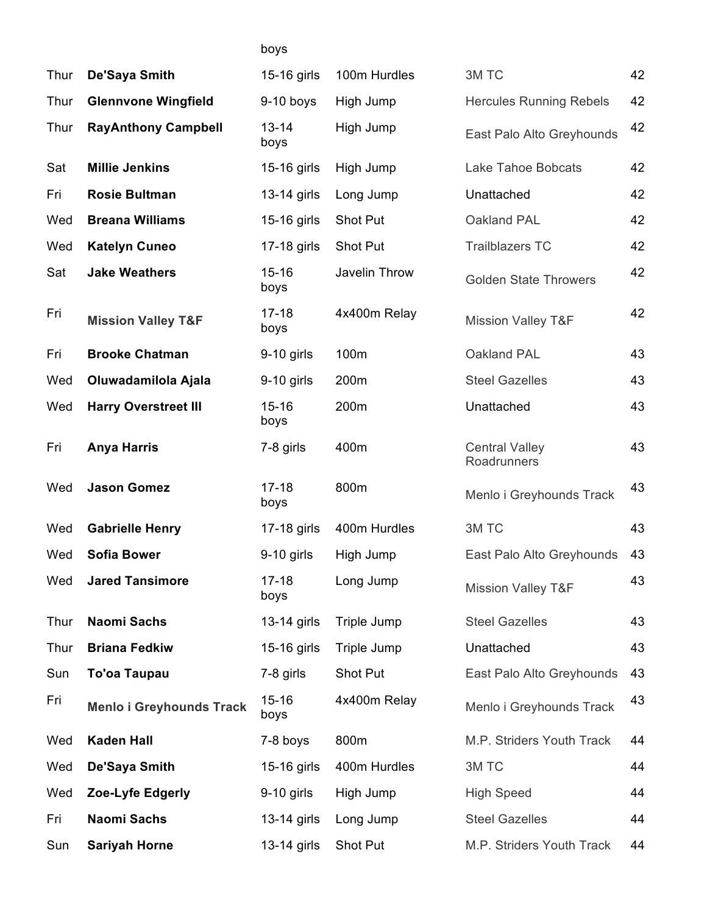## boys

| Thur | De'Saya Smith                   | 15-16 girls       | 100m Hurdles  | 3M TC                                | 42 |
|------|---------------------------------|-------------------|---------------|--------------------------------------|----|
| Thur | <b>Glennvone Wingfield</b>      | $9-10$ boys       | High Jump     | <b>Hercules Running Rebels</b>       | 42 |
| Thur | <b>RayAnthony Campbell</b>      | $13 - 14$<br>boys | High Jump     | East Palo Alto Greyhounds            | 42 |
| Sat  | <b>Millie Jenkins</b>           | 15-16 girls       | High Jump     | <b>Lake Tahoe Bobcats</b>            | 42 |
| Fri  | <b>Rosie Bultman</b>            | 13-14 girls       | Long Jump     | Unattached                           | 42 |
| Wed  | <b>Breana Williams</b>          | 15-16 girls       | Shot Put      | Oakland PAL                          | 42 |
| Wed  | <b>Katelyn Cuneo</b>            | 17-18 girls       | Shot Put      | <b>Trailblazers TC</b>               | 42 |
| Sat  | <b>Jake Weathers</b>            | $15 - 16$<br>boys | Javelin Throw | <b>Golden State Throwers</b>         | 42 |
| Fri  | <b>Mission Valley T&amp;F</b>   | $17 - 18$<br>boys | 4x400m Relay  | <b>Mission Valley T&amp;F</b>        | 42 |
| Fri  | <b>Brooke Chatman</b>           | $9-10$ girls      | 100m          | Oakland PAL                          | 43 |
| Wed  | Oluwadamilola Ajala             | 9-10 girls        | 200m          | <b>Steel Gazelles</b>                | 43 |
| Wed  | <b>Harry Overstreet III</b>     | $15 - 16$<br>boys | 200m          | Unattached                           | 43 |
| Fri  | <b>Anya Harris</b>              | 7-8 girls         | 400m          | <b>Central Valley</b><br>Roadrunners | 43 |
| Wed  | <b>Jason Gomez</b>              | $17 - 18$<br>boys | 800m          | Menlo i Greyhounds Track             | 43 |
| Wed  | <b>Gabrielle Henry</b>          | 17-18 girls       | 400m Hurdles  | 3M TC                                | 43 |
| Wed  | <b>Sofia Bower</b>              | 9-10 girls        | High Jump     | East Palo Alto Greyhounds            | 43 |
| Wed  | <b>Jared Tansimore</b>          | $17 - 18$<br>boys | Long Jump     | <b>Mission Valley T&amp;F</b>        | 43 |
| Thur | <b>Naomi Sachs</b>              | 13-14 girls       | Triple Jump   | <b>Steel Gazelles</b>                | 43 |
| Thur | <b>Briana Fedkiw</b>            | 15-16 girls       | Triple Jump   | Unattached                           | 43 |
| Sun  | To'oa Taupau                    | 7-8 girls         | Shot Put      | East Palo Alto Greyhounds            | 43 |
| Fri  | <b>Menlo i Greyhounds Track</b> | $15 - 16$<br>boys | 4x400m Relay  | Menlo i Greyhounds Track             | 43 |
| Wed  | <b>Kaden Hall</b>               | 7-8 boys          | 800m          | M.P. Striders Youth Track            | 44 |
| Wed  | De'Saya Smith                   | 15-16 girls       | 400m Hurdles  | 3M TC                                | 44 |
| Wed  | Zoe-Lyfe Edgerly                | $9-10$ girls      | High Jump     | <b>High Speed</b>                    | 44 |
| Fri  | <b>Naomi Sachs</b>              | 13-14 girls       | Long Jump     | <b>Steel Gazelles</b>                | 44 |
| Sun  | <b>Sariyah Horne</b>            | 13-14 girls       | Shot Put      | M.P. Striders Youth Track            | 44 |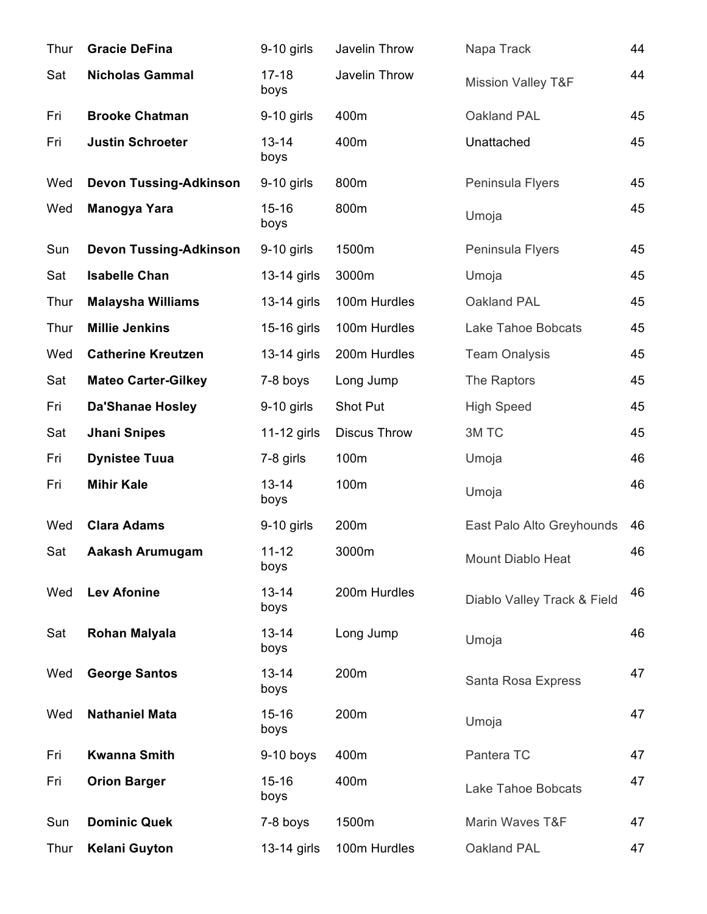| Thur | <b>Gracie DeFina</b>          | $9-10$ girls      | Javelin Throw       | Napa Track                    | 44 |
|------|-------------------------------|-------------------|---------------------|-------------------------------|----|
| Sat  | <b>Nicholas Gammal</b>        | $17 - 18$<br>boys | Javelin Throw       | <b>Mission Valley T&amp;F</b> | 44 |
| Fri  | <b>Brooke Chatman</b>         | $9-10$ girls      | 400m                | Oakland PAL                   | 45 |
| Fri  | <b>Justin Schroeter</b>       | $13 - 14$<br>boys | 400m                | Unattached                    | 45 |
| Wed  | <b>Devon Tussing-Adkinson</b> | $9-10$ girls      | 800m                | Peninsula Flyers              | 45 |
| Wed  | Manogya Yara                  | $15 - 16$<br>boys | 800m                | Umoja                         | 45 |
| Sun  | <b>Devon Tussing-Adkinson</b> | $9-10$ girls      | 1500m               | Peninsula Flyers              | 45 |
| Sat  | <b>Isabelle Chan</b>          | 13-14 girls       | 3000m               | Umoja                         | 45 |
| Thur | <b>Malaysha Williams</b>      | 13-14 girls       | 100m Hurdles        | Oakland PAL                   | 45 |
| Thur | <b>Millie Jenkins</b>         | 15-16 girls       | 100m Hurdles        | Lake Tahoe Bobcats            | 45 |
| Wed  | <b>Catherine Kreutzen</b>     | 13-14 girls       | 200m Hurdles        | <b>Team Onalysis</b>          | 45 |
| Sat  | <b>Mateo Carter-Gilkey</b>    | 7-8 boys          | Long Jump           | The Raptors                   | 45 |
| Fri  | <b>Da'Shanae Hosley</b>       | 9-10 girls        | Shot Put            | <b>High Speed</b>             | 45 |
| Sat  | <b>Jhani Snipes</b>           | 11-12 girls       | <b>Discus Throw</b> | 3M TC                         | 45 |
| Fri  | <b>Dynistee Tuua</b>          | 7-8 girls         | 100m                | Umoja                         | 46 |
| Fri  | <b>Mihir Kale</b>             | $13 - 14$<br>boys | 100m                | Umoja                         | 46 |
| Wed  | <b>Clara Adams</b>            | $9-10$ girls      | 200m                | East Palo Alto Greyhounds     | 46 |
| Sat  | Aakash Arumugam               | $11 - 12$<br>boys | 3000m               | Mount Diablo Heat             | 46 |
| Wed  | <b>Lev Afonine</b>            | $13 - 14$<br>boys | 200m Hurdles        | Diablo Valley Track & Field   | 46 |
| Sat  | <b>Rohan Malyala</b>          | $13 - 14$<br>boys | Long Jump           | Umoja                         | 46 |
| Wed  | <b>George Santos</b>          | $13 - 14$<br>boys | 200m                | Santa Rosa Express            | 47 |
| Wed  | <b>Nathaniel Mata</b>         | $15 - 16$<br>boys | 200m                | Umoja                         | 47 |
| Fri  | <b>Kwanna Smith</b>           | 9-10 boys         | 400m                | Pantera TC                    | 47 |
| Fri  | <b>Orion Barger</b>           | $15 - 16$<br>boys | 400m                | <b>Lake Tahoe Bobcats</b>     | 47 |
| Sun  | <b>Dominic Quek</b>           | 7-8 boys          | 1500m               | Marin Waves T&F               | 47 |
| Thur | <b>Kelani Guyton</b>          | 13-14 girls       | 100m Hurdles        | Oakland PAL                   | 47 |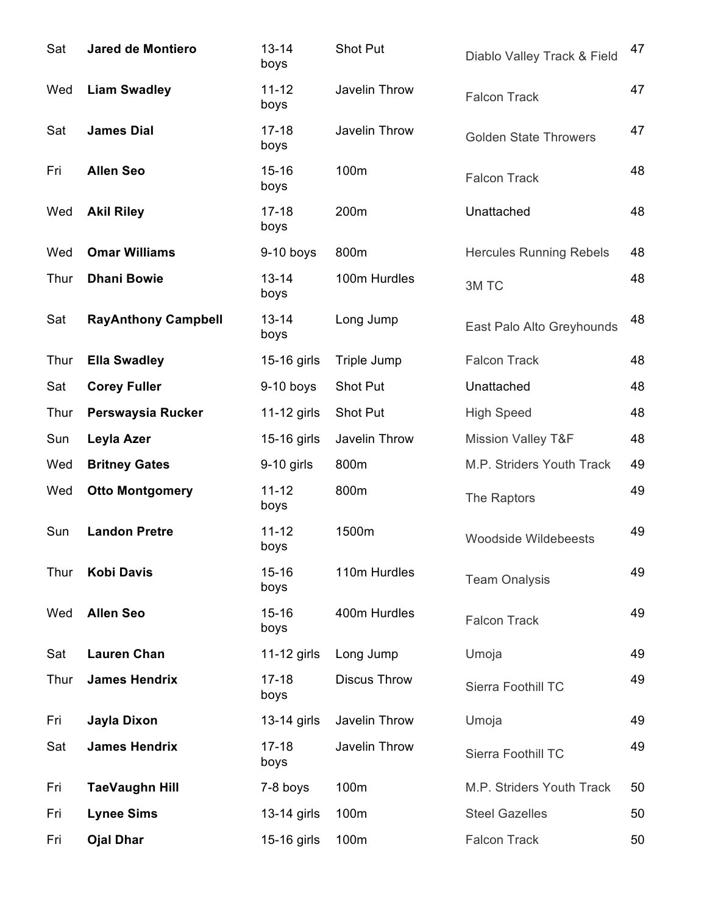| Sat  | <b>Jared de Montiero</b>   | $13 - 14$<br>boys | <b>Shot Put</b>     | Diablo Valley Track & Field    | 47 |
|------|----------------------------|-------------------|---------------------|--------------------------------|----|
| Wed  | <b>Liam Swadley</b>        | $11 - 12$<br>boys | Javelin Throw       | <b>Falcon Track</b>            | 47 |
| Sat  | <b>James Dial</b>          | $17 - 18$<br>boys | Javelin Throw       | <b>Golden State Throwers</b>   | 47 |
| Fri  | <b>Allen Seo</b>           | $15 - 16$<br>boys | 100m                | <b>Falcon Track</b>            | 48 |
| Wed  | <b>Akil Riley</b>          | $17 - 18$<br>boys | 200m                | Unattached                     | 48 |
| Wed  | <b>Omar Williams</b>       | $9-10$ boys       | 800m                | <b>Hercules Running Rebels</b> | 48 |
| Thur | <b>Dhani Bowie</b>         | $13 - 14$<br>boys | 100m Hurdles        | 3M TC                          | 48 |
| Sat  | <b>RayAnthony Campbell</b> | $13 - 14$<br>boys | Long Jump           | East Palo Alto Greyhounds      | 48 |
| Thur | <b>Ella Swadley</b>        | 15-16 girls       | Triple Jump         | <b>Falcon Track</b>            | 48 |
| Sat  | <b>Corey Fuller</b>        | $9-10$ boys       | Shot Put            | Unattached                     | 48 |
| Thur | Perswaysia Rucker          | $11-12$ girls     | Shot Put            | <b>High Speed</b>              | 48 |
| Sun  | Leyla Azer                 | 15-16 girls       | Javelin Throw       | <b>Mission Valley T&amp;F</b>  | 48 |
| Wed  | <b>Britney Gates</b>       | $9-10$ girls      | 800m                | M.P. Striders Youth Track      | 49 |
| Wed  | <b>Otto Montgomery</b>     | $11 - 12$<br>boys | 800m                | The Raptors                    | 49 |
| Sun  | <b>Landon Pretre</b>       | $11 - 12$<br>boys | 1500m               | <b>Woodside Wildebeests</b>    | 49 |
| Thur | <b>Kobi Davis</b>          | $15 - 16$<br>boys | 110m Hurdles        | <b>Team Onalysis</b>           | 49 |
| Wed  | <b>Allen Seo</b>           | $15 - 16$<br>boys | 400m Hurdles        | <b>Falcon Track</b>            | 49 |
| Sat  | <b>Lauren Chan</b>         | 11-12 girls       | Long Jump           | Umoja                          | 49 |
| Thur | <b>James Hendrix</b>       | $17 - 18$<br>boys | <b>Discus Throw</b> | Sierra Foothill TC             | 49 |
| Fri  | Jayla Dixon                | 13-14 girls       | Javelin Throw       | Umoja                          | 49 |
| Sat  | <b>James Hendrix</b>       | $17 - 18$<br>boys | Javelin Throw       | Sierra Foothill TC             | 49 |
| Fri  | <b>TaeVaughn Hill</b>      | 7-8 boys          | 100m                | M.P. Striders Youth Track      | 50 |
| Fri  | <b>Lynee Sims</b>          | 13-14 girls       | 100m                | <b>Steel Gazelles</b>          | 50 |
| Fri  | <b>Ojal Dhar</b>           | 15-16 girls       | 100m                | <b>Falcon Track</b>            | 50 |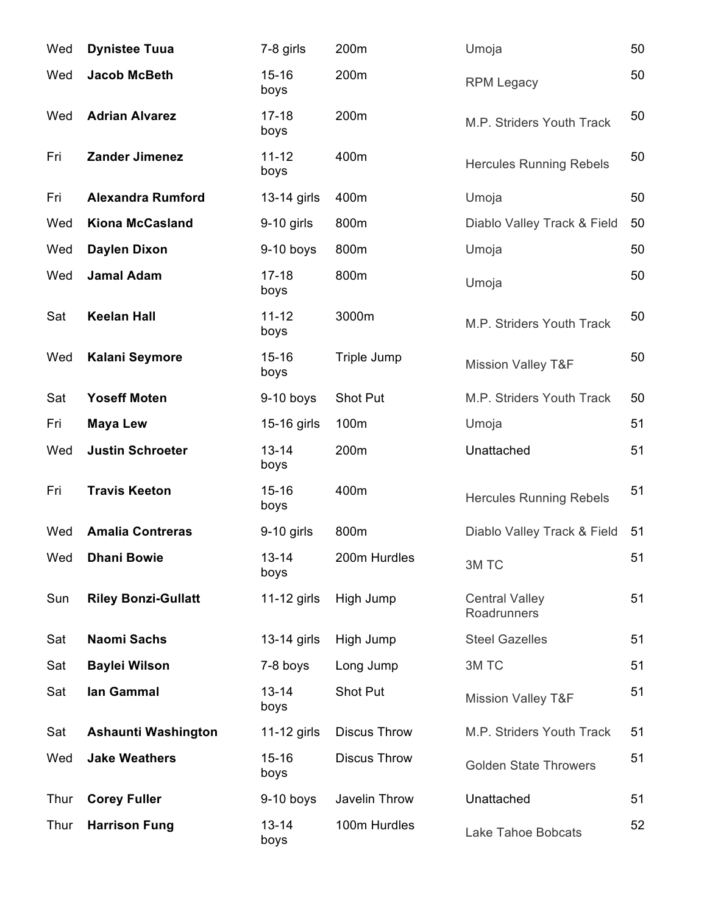| Wed  | <b>Dynistee Tuua</b>       | 7-8 girls         | 200m                | Umoja                                | 50 |
|------|----------------------------|-------------------|---------------------|--------------------------------------|----|
| Wed  | <b>Jacob McBeth</b>        | $15 - 16$<br>boys | 200m                | <b>RPM Legacy</b>                    | 50 |
| Wed  | <b>Adrian Alvarez</b>      | $17 - 18$<br>boys | 200m                | M.P. Striders Youth Track            | 50 |
| Fri  | <b>Zander Jimenez</b>      | $11 - 12$<br>boys | 400m                | <b>Hercules Running Rebels</b>       | 50 |
| Fri  | <b>Alexandra Rumford</b>   | 13-14 girls       | 400m                | Umoja                                | 50 |
| Wed  | <b>Kiona McCasland</b>     | $9-10$ girls      | 800m                | Diablo Valley Track & Field          | 50 |
| Wed  | <b>Daylen Dixon</b>        | 9-10 boys         | 800m                | Umoja                                | 50 |
| Wed  | <b>Jamal Adam</b>          | $17 - 18$<br>boys | 800m                | Umoja                                | 50 |
| Sat  | <b>Keelan Hall</b>         | $11 - 12$<br>boys | 3000m               | M.P. Striders Youth Track            | 50 |
| Wed  | <b>Kalani Seymore</b>      | $15 - 16$<br>boys | Triple Jump         | <b>Mission Valley T&amp;F</b>        | 50 |
| Sat  | <b>Yoseff Moten</b>        | $9-10$ boys       | Shot Put            | M.P. Striders Youth Track            | 50 |
| Fri  | <b>Maya Lew</b>            | 15-16 girls       | 100m                | Umoja                                | 51 |
| Wed  | <b>Justin Schroeter</b>    | $13 - 14$<br>boys | 200m                | Unattached                           | 51 |
| Fri  | <b>Travis Keeton</b>       | $15 - 16$<br>boys | 400m                | <b>Hercules Running Rebels</b>       | 51 |
| Wed  | <b>Amalia Contreras</b>    | $9-10$ girls      | 800m                | Diablo Valley Track & Field          | 51 |
| Wed  | <b>Dhani Bowie</b>         | $13 - 14$<br>boys | 200m Hurdles        | 3M TC                                | 51 |
| Sun  | <b>Riley Bonzi-Gullatt</b> | $11-12$ girls     | High Jump           | <b>Central Valley</b><br>Roadrunners | 51 |
| Sat  | <b>Naomi Sachs</b>         | 13-14 girls       | High Jump           | <b>Steel Gazelles</b>                | 51 |
| Sat  | <b>Baylei Wilson</b>       | 7-8 boys          | Long Jump           | 3M TC                                | 51 |
| Sat  | lan Gammal                 | $13 - 14$<br>boys | Shot Put            | <b>Mission Valley T&amp;F</b>        | 51 |
| Sat  | Ashaunti Washington        | 11-12 girls       | <b>Discus Throw</b> | M.P. Striders Youth Track            | 51 |
| Wed  | <b>Jake Weathers</b>       | $15 - 16$<br>boys | <b>Discus Throw</b> | <b>Golden State Throwers</b>         | 51 |
| Thur | <b>Corey Fuller</b>        | $9-10$ boys       | Javelin Throw       | Unattached                           | 51 |
| Thur | <b>Harrison Fung</b>       | $13 - 14$<br>boys | 100m Hurdles        | Lake Tahoe Bobcats                   | 52 |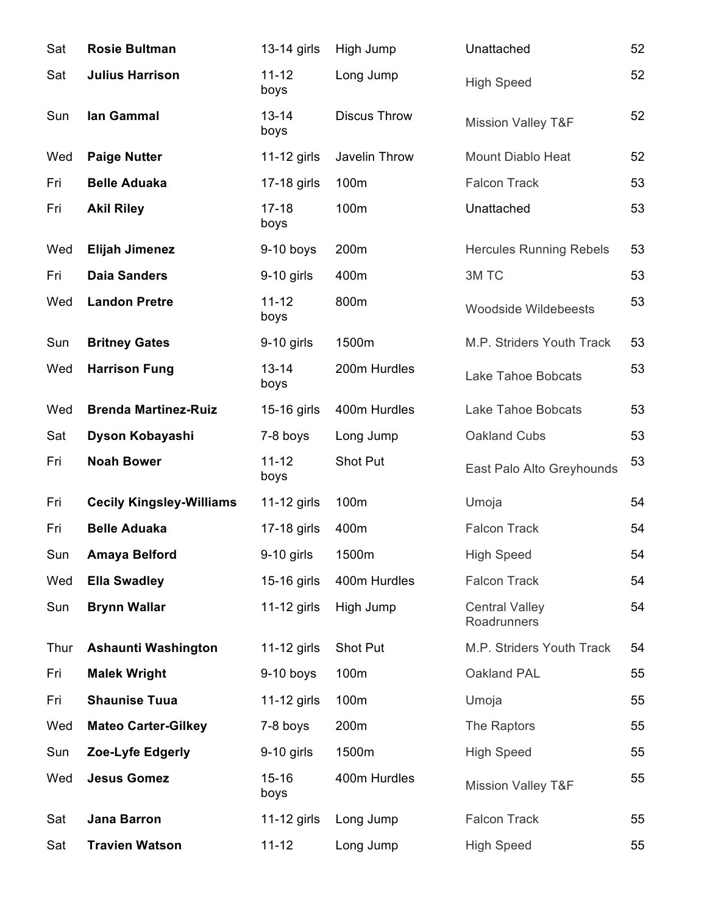| Sat  | <b>Rosie Bultman</b>            | 13-14 girls       | High Jump           | Unattached                           | 52 |
|------|---------------------------------|-------------------|---------------------|--------------------------------------|----|
| Sat  | <b>Julius Harrison</b>          | $11 - 12$<br>boys | Long Jump           | <b>High Speed</b>                    | 52 |
| Sun  | lan Gammal                      | $13 - 14$<br>boys | <b>Discus Throw</b> | <b>Mission Valley T&amp;F</b>        | 52 |
| Wed  | <b>Paige Nutter</b>             | $11-12$ girls     | Javelin Throw       | <b>Mount Diablo Heat</b>             | 52 |
| Fri  | <b>Belle Aduaka</b>             | 17-18 girls       | 100m                | <b>Falcon Track</b>                  | 53 |
| Fri  | <b>Akil Riley</b>               | $17 - 18$<br>boys | 100m                | Unattached                           | 53 |
| Wed  | <b>Elijah Jimenez</b>           | $9-10$ boys       | 200m                | <b>Hercules Running Rebels</b>       | 53 |
| Fri  | <b>Daia Sanders</b>             | 9-10 girls        | 400m                | 3M TC                                | 53 |
| Wed  | <b>Landon Pretre</b>            | $11 - 12$<br>boys | 800m                | <b>Woodside Wildebeests</b>          | 53 |
| Sun  | <b>Britney Gates</b>            | $9-10$ girls      | 1500m               | M.P. Striders Youth Track            | 53 |
| Wed  | <b>Harrison Fung</b>            | $13 - 14$<br>boys | 200m Hurdles        | Lake Tahoe Bobcats                   | 53 |
| Wed  | <b>Brenda Martinez-Ruiz</b>     | 15-16 girls       | 400m Hurdles        | Lake Tahoe Bobcats                   | 53 |
| Sat  | Dyson Kobayashi                 | 7-8 boys          | Long Jump           | Oakland Cubs                         | 53 |
| Fri  | <b>Noah Bower</b>               | $11 - 12$<br>boys | <b>Shot Put</b>     | East Palo Alto Greyhounds            | 53 |
| Fri  | <b>Cecily Kingsley-Williams</b> | $11-12$ girls     | 100m                | Umoja                                | 54 |
| Fri  | <b>Belle Aduaka</b>             | 17-18 girls       | 400m                | <b>Falcon Track</b>                  | 54 |
| Sun  | <b>Amaya Belford</b>            | 9-10 girls        | 1500m               | <b>High Speed</b>                    | 54 |
| Wed  | <b>Ella Swadley</b>             | 15-16 girls       | 400m Hurdles        | <b>Falcon Track</b>                  | 54 |
| Sun  | <b>Brynn Wallar</b>             | 11-12 girls       | High Jump           | <b>Central Valley</b><br>Roadrunners | 54 |
| Thur | Ashaunti Washington             | $11-12$ girls     | Shot Put            | M.P. Striders Youth Track            | 54 |
| Fri  | <b>Malek Wright</b>             | $9-10$ boys       | 100m                | Oakland PAL                          | 55 |
| Fri  | <b>Shaunise Tuua</b>            | $11-12$ girls     | 100m                | Umoja                                | 55 |
| Wed  | <b>Mateo Carter-Gilkey</b>      | 7-8 boys          | 200m                | The Raptors                          | 55 |
| Sun  | Zoe-Lyfe Edgerly                | $9-10$ girls      | 1500m               | <b>High Speed</b>                    | 55 |
| Wed  | <b>Jesus Gomez</b>              | $15 - 16$<br>boys | 400m Hurdles        | <b>Mission Valley T&amp;F</b>        | 55 |
| Sat  | <b>Jana Barron</b>              | 11-12 girls       | Long Jump           | <b>Falcon Track</b>                  | 55 |
| Sat  | <b>Travien Watson</b>           | $11 - 12$         | Long Jump           | <b>High Speed</b>                    | 55 |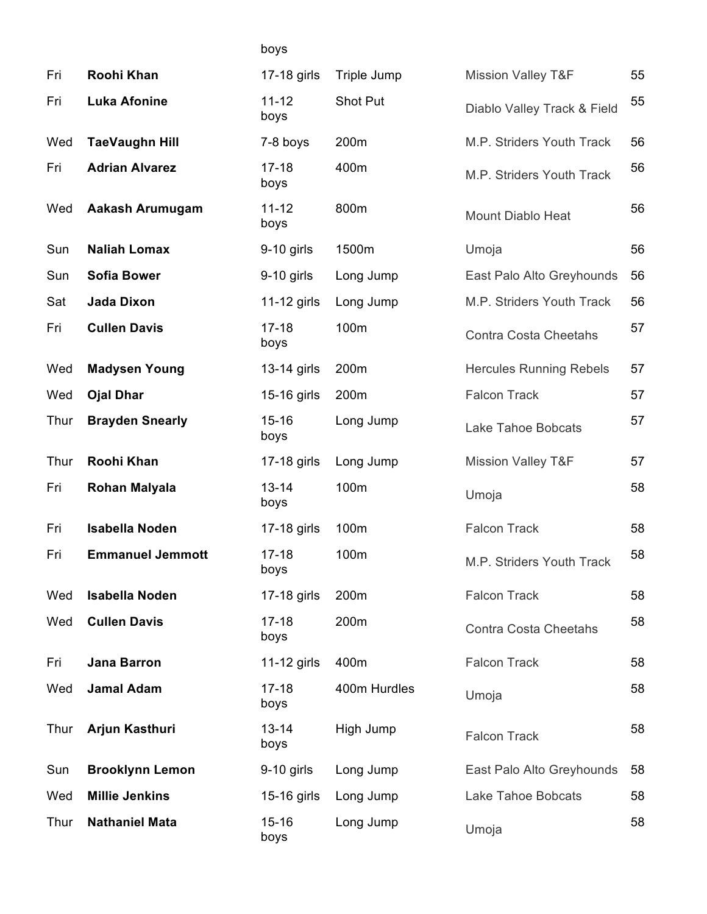| Fri  | Roohi Khan              | 17-18 girls       | Triple Jump  | <b>Mission Valley T&amp;F</b>  | 55 |
|------|-------------------------|-------------------|--------------|--------------------------------|----|
| Fri  | <b>Luka Afonine</b>     | $11 - 12$<br>boys | Shot Put     | Diablo Valley Track & Field    | 55 |
| Wed  | <b>TaeVaughn Hill</b>   | 7-8 boys          | 200m         | M.P. Striders Youth Track      | 56 |
| Fri  | <b>Adrian Alvarez</b>   | $17 - 18$<br>boys | 400m         | M.P. Striders Youth Track      | 56 |
| Wed  | Aakash Arumugam         | $11 - 12$<br>boys | 800m         | <b>Mount Diablo Heat</b>       | 56 |
| Sun  | <b>Naliah Lomax</b>     | $9-10$ girls      | 1500m        | Umoja                          | 56 |
| Sun  | <b>Sofia Bower</b>      | $9-10$ girls      | Long Jump    | East Palo Alto Greyhounds      | 56 |
| Sat  | <b>Jada Dixon</b>       | 11-12 girls       | Long Jump    | M.P. Striders Youth Track      | 56 |
| Fri  | <b>Cullen Davis</b>     | $17 - 18$<br>boys | 100m         | <b>Contra Costa Cheetahs</b>   | 57 |
| Wed  | <b>Madysen Young</b>    | 13-14 girls       | 200m         | <b>Hercules Running Rebels</b> | 57 |
| Wed  | <b>Ojal Dhar</b>        | 15-16 girls       | 200m         | <b>Falcon Track</b>            | 57 |
| Thur | <b>Brayden Snearly</b>  | $15 - 16$<br>boys | Long Jump    | Lake Tahoe Bobcats             | 57 |
| Thur | Roohi Khan              | 17-18 girls       | Long Jump    | <b>Mission Valley T&amp;F</b>  | 57 |
| Fri  | <b>Rohan Malyala</b>    | $13 - 14$<br>boys | 100m         | Umoja                          | 58 |
| Fri  | <b>Isabella Noden</b>   | 17-18 girls       | 100m         | <b>Falcon Track</b>            | 58 |
| Fri  | <b>Emmanuel Jemmott</b> | $17 - 18$<br>boys | 100m         | M.P. Striders Youth Track      | 58 |
| Wed  | <b>Isabella Noden</b>   | 17-18 girls       | 200m         | <b>Falcon Track</b>            | 58 |
| Wed  | <b>Cullen Davis</b>     | $17 - 18$<br>boys | 200m         | <b>Contra Costa Cheetahs</b>   | 58 |
| Fri  | <b>Jana Barron</b>      | 11-12 girls       | 400m         | <b>Falcon Track</b>            | 58 |
| Wed  | <b>Jamal Adam</b>       | $17 - 18$<br>boys | 400m Hurdles | Umoja                          | 58 |
| Thur | Arjun Kasthuri          | $13 - 14$<br>boys | High Jump    | <b>Falcon Track</b>            | 58 |
| Sun  | <b>Brooklynn Lemon</b>  | $9-10$ girls      | Long Jump    | East Palo Alto Greyhounds      | 58 |
| Wed  | <b>Millie Jenkins</b>   | 15-16 girls       | Long Jump    | Lake Tahoe Bobcats             | 58 |
| Thur | <b>Nathaniel Mata</b>   | $15 - 16$<br>boys | Long Jump    | Umoja                          | 58 |

boys